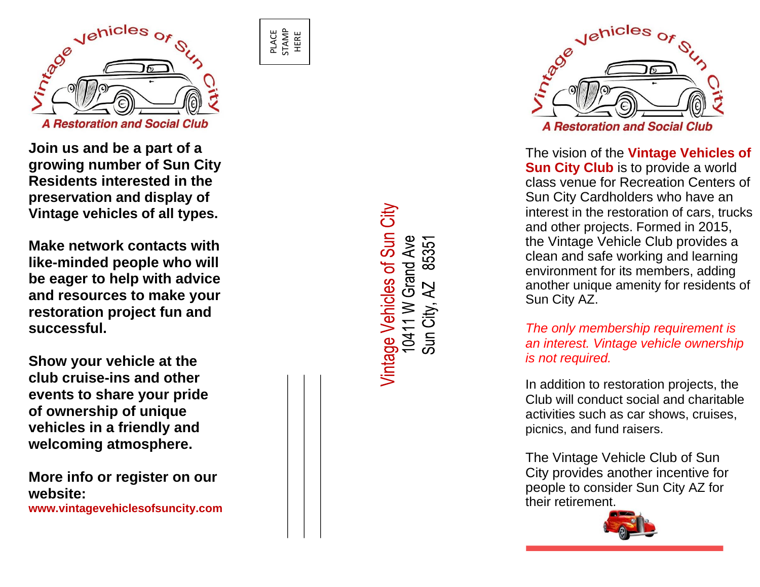

PLACE STAMP HERE

**Join us and be a part of a growing number of Sun City Residents interested in the preservation and display of Vintage vehicles of all types.** 

**Make network contacts with like -minded people who will be eager to help with advice and resources to make your restoration project fun and successful.**

**Show your vehicle at the club cruise -ins and other events to share your pride of ownership of unique vehicles in a friendly and welcoming atmosphere.** 

**More info or register on our website: www.vintagevehiclesofsuncity.com** Vintage Vehicles of Sun City 10411 W Grand Ave<br>Sun City, AZ 85351



The vision of the **Vintage Vehicles of Sun City Club** is to provide a world class venue for Recreation Centers of Sun City Cardholders who have an interest in the restoration of cars, trucks and other projects. Formed in 2015, the Vintage Vehicle Club provides a clean and safe working and learning environment for its members, adding another unique amenity for residents of Sun City AZ.

*The only membership requirement is an interest. Vintage vehicle ownership is not required.*

In addition to restoration projects, the Club will conduct social and charitable activities such as car shows, cruises, picnics, and fund raisers.

The Vintage Vehicle Club of Sun City provides another incentive for people to consider Sun City AZ for their retirement.